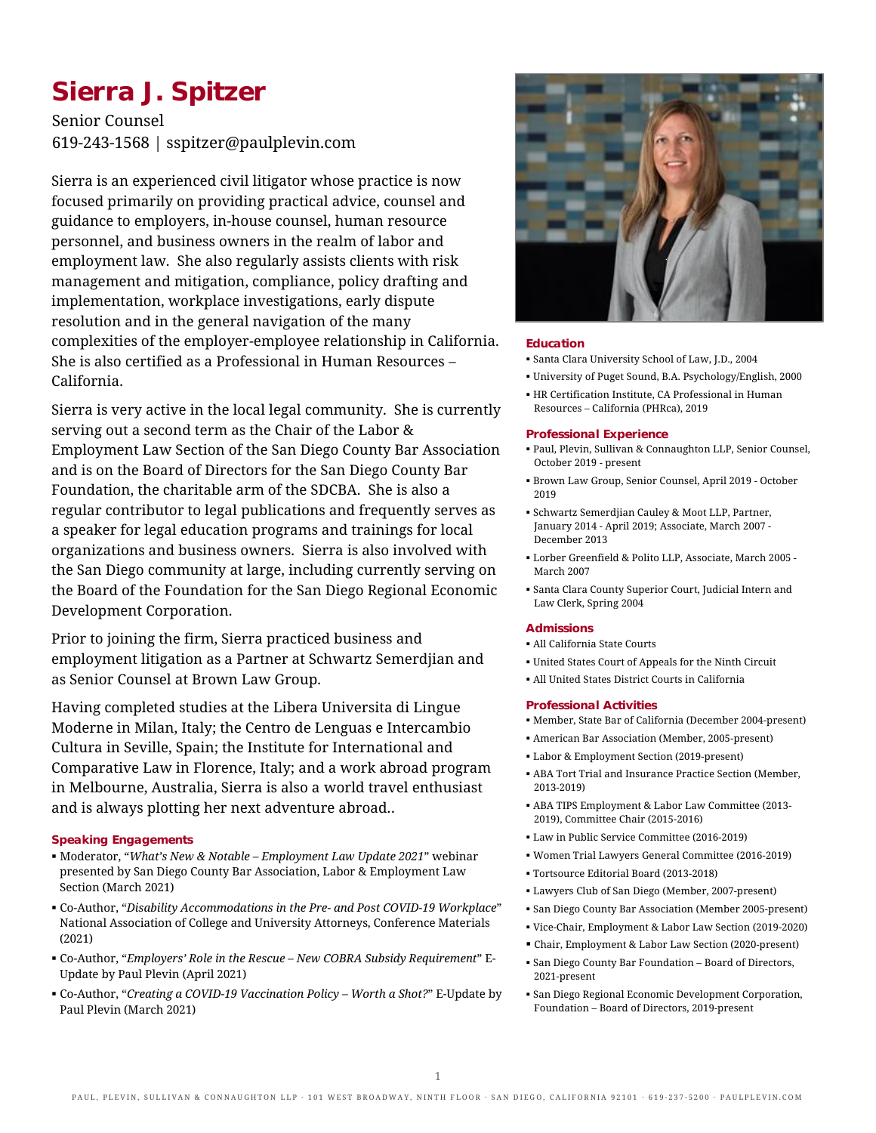# **Sierra J. Spitzer**

Senior Counsel 619-243-1568 | sspitzer@paulplevin.com

Sierra is an experienced civil litigator whose practice is now focused primarily on providing practical advice, counsel and guidance to employers, in-house counsel, human resource personnel, and business owners in the realm of labor and employment law. She also regularly assists clients with risk management and mitigation, compliance, policy drafting and implementation, workplace investigations, early dispute resolution and in the general navigation of the many complexities of the employer-employee relationship in California. She is also certified as a Professional in Human Resources – California.

Sierra is very active in the local legal community. She is currently serving out a second term as the Chair of the Labor & Employment Law Section of the San Diego County Bar Association and is on the Board of Directors for the San Diego County Bar Foundation, the charitable arm of the SDCBA. She is also a regular contributor to legal publications and frequently serves as a speaker for legal education programs and trainings for local organizations and business owners. Sierra is also involved with the San Diego community at large, including currently serving on the Board of the Foundation for the San Diego Regional Economic Development Corporation.

Prior to joining the firm, Sierra practiced business and employment litigation as a Partner at Schwartz Semerdjian and as Senior Counsel at Brown Law Group.

Having completed studies at the Libera Universita di Lingue Moderne in Milan, Italy; the Centro de Lenguas e Intercambio Cultura in Seville, Spain; the Institute for International and Comparative Law in Florence, Italy; and a work abroad program in Melbourne, Australia, Sierra is also a world travel enthusiast and is always plotting her next adventure abroad..

## **Speaking Engagements**

- Moderator, "*What's New & Notable – Employment Law Update 2021*" webinar presented by San Diego County Bar Association, Labor & Employment Law Section (March 2021)
- Co-Author, "*Disability Accommodations in the Pre- and Post COVID-19 Workplace*" National Association of College and University Attorneys, Conference Materials (2021)
- Co-Author, "*Employers' Role in the Rescue – New COBRA Subsidy Requirement*" E-Update by Paul Plevin (April 2021)
- Co-Author, "*Creating a COVID-19 Vaccination Policy – Worth a Shot?*" E-Update by Paul Plevin (March 2021)



## **Education**

- Santa Clara University School of Law, J.D., 2004
- University of Puget Sound, B.A. Psychology/English, 2000
- HR Certification Institute, CA Professional in Human Resources – California (PHRca), 2019

## **Professional Experience**

- Paul, Plevin, Sullivan & Connaughton LLP, Senior Counsel, October 2019 - present
- Brown Law Group, Senior Counsel, April 2019 October 2019
- Schwartz Semerdjian Cauley & Moot LLP, Partner, January 2014 - April 2019; Associate, March 2007 - December 2013
- Lorber Greenfield & Polito LLP, Associate, March 2005 March 2007
- Santa Clara County Superior Court, Judicial Intern and Law Clerk, Spring 2004

### **Admissions**

- All California State Courts
- United States Court of Appeals for the Ninth Circuit
- All United States District Courts in California

## **Professional Activities**

- Member, State Bar of California (December 2004-present)
- American Bar Association (Member, 2005-present)
- Labor & Employment Section (2019-present)
- ABA Tort Trial and Insurance Practice Section (Member, 2013-2019)
- ABA TIPS Employment & Labor Law Committee (2013- 2019), Committee Chair (2015-2016)
- Law in Public Service Committee (2016-2019)
- Women Trial Lawyers General Committee (2016-2019)
- Tortsource Editorial Board (2013-2018)
- Lawyers Club of San Diego (Member, 2007-present)
- San Diego County Bar Association (Member 2005-present)
- Vice-Chair, Employment & Labor Law Section (2019-2020)
- Chair, Employment & Labor Law Section (2020-present)
- San Diego County Bar Foundation Board of Directors, 2021-present
- San Diego Regional Economic Development Corporation, Foundation – Board of Directors, 2019-present